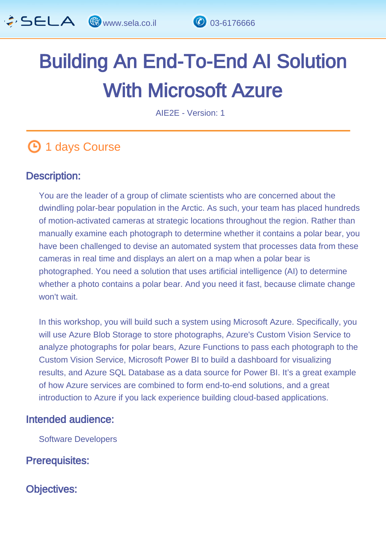

# Building An End-To-End AI Solution With Microsoft Azure

AIE2E - Version: 1

# **1** days Course

#### Description: Ĩ

You are the leader of a group of climate scientists who are concerned about the dwindling polar-bear population in the Arctic. As such, your team has placed hundreds of motion-activated cameras at strategic locations throughout the region. Rather than manually examine each photograph to determine whether it contains a polar bear, you have been challenged to devise an automated system that processes data from these cameras in real time and displays an alert on a map when a polar bear is photographed. You need a solution that uses artificial intelligence (AI) to determine whether a photo contains a polar bear. And you need it fast, because climate change won't wait.

In this workshop, you will build such a system using Microsoft Azure. Specifically, you will use Azure Blob Storage to store photographs, Azure's Custom Vision Service to analyze photographs for polar bears, Azure Functions to pass each photograph to the Custom Vision Service, Microsoft Power BI to build a dashboard for visualizing results, and Azure SQL Database as a data source for Power BI. It's a great example of how Azure services are combined to form end-to-end solutions, and a great introduction to Azure if you lack experience building cloud-based applications.

#### Intended audience: L,

Software Developers

Prerequisites: Ï

Objectives: